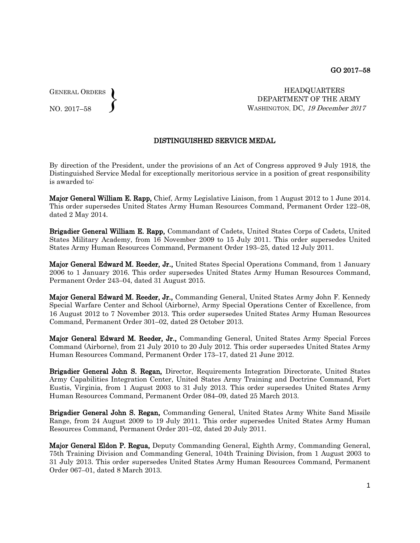GENERAL ORDERS  $\left\{ \right\}$ 

NO. 2017–58

 HEADQUARTERS DEPARTMENT OF THE ARMY WASHINGTON, DC, 19 December 2017

## DISTINGUISHED SERVICE MEDAL

By direction of the President, under the provisions of an Act of Congress approved 9 July 1918, the Distinguished Service Medal for exceptionally meritorious service in a position of great responsibility is awarded to:

Major General William E. Rapp, Chief, Army Legislative Liaison, from 1 August 2012 to 1 June 2014. This order supersedes United States Army Human Resources Command, Permanent Order 122–08, dated 2 May 2014.

Brigadier General William E. Rapp, Commandant of Cadets, United States Corps of Cadets, United States Military Academy, from 16 November 2009 to 15 July 2011. This order supersedes United States Army Human Resources Command, Permanent Order 193–25, dated 12 July 2011.

Major General Edward M. Reeder, Jr., United States Special Operations Command, from 1 January 2006 to 1 January 2016. This order supersedes United States Army Human Resources Command, Permanent Order 243–04, dated 31 August 2015.

Major General Edward M. Reeder, Jr., Commanding General, United States Army John F. Kennedy Special Warfare Center and School (Airborne), Army Special Operations Center of Excellence, from 16 August 2012 to 7 November 2013. This order supersedes United States Army Human Resources Command, Permanent Order 301–02, dated 28 October 2013.

Major General Edward M. Reeder, Jr., Commanding General, United States Army Special Forces Command (Airborne), from 21 July 2010 to 20 July 2012. This order supersedes United States Army Human Resources Command, Permanent Order 173–17, dated 21 June 2012.

Brigadier General John S. Regan, Director, Requirements Integration Directorate, United States Army Capabilities Integration Center, United States Army Training and Doctrine Command, Fort Eustis, Virginia, from 1 August 2003 to 31 July 2013. This order supersedes United States Army Human Resources Command, Permanent Order 084–09, dated 25 March 2013.

Brigadier General John S. Regan, Commanding General, United States Army White Sand Missile Range, from 24 August 2009 to 19 July 2011. This order supersedes United States Army Human Resources Command, Permanent Order 201–02, dated 20 July 2011.

Major General Eldon P. Regua, Deputy Commanding General, Eighth Army, Commanding General, 75th Training Division and Commanding General, 104th Training Division, from 1 August 2003 to 31 July 2013. This order supersedes United States Army Human Resources Command, Permanent Order 067–01, dated 8 March 2013.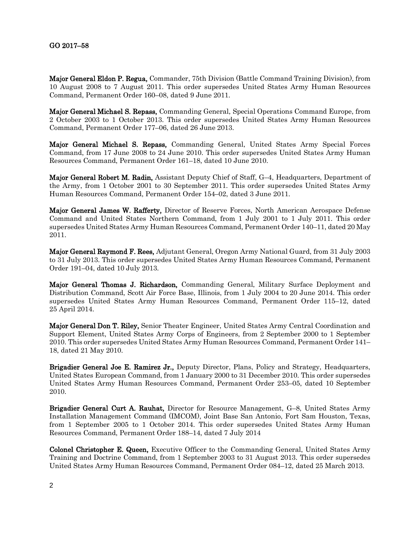## GO 2017–58

Major General Eldon P. Regua, Commander, 75th Division (Battle Command Training Division), from 10 August 2008 to 7 August 2011. This order supersedes United States Army Human Resources Command, Permanent Order 160–08, dated 9 June 2011.

Major General Michael S. Repass, Commanding General, Special Operations Command Europe, from 2 October 2003 to 1 October 2013. This order supersedes United States Army Human Resources Command, Permanent Order 177–06, dated 26 June 2013.

Major General Michael S. Repass, Commanding General, United States Army Special Forces Command, from 17 June 2008 to 24 June 2010. This order supersedes United States Army Human Resources Command, Permanent Order 161–18, dated 10 June 2010.

Major General Robert M. Radin, Assistant Deputy Chief of Staff, G–4, Headquarters, Department of the Army, from 1 October 2001 to 30 September 2011. This order supersedes United States Army Human Resources Command, Permanent Order 154–02, dated 3 June 2011.

Major General James W. Rafferty, Director of Reserve Forces, North American Aerospace Defense Command and United States Northern Command, from 1 July 2001 to 1 July 2011. This order supersedes United States Army Human Resources Command, Permanent Order 140–11, dated 20 May 2011.

Major General Raymond F. Rees, Adjutant General, Oregon Army National Guard, from 31 July 2003 to 31 July 2013. This order supersedes United States Army Human Resources Command, Permanent Order 191–04, dated 10 July 2013.

Major General Thomas J. Richardson, Commanding General, Military Surface Deployment and Distribution Command, Scott Air Force Base, Illinois, from 1 July 2004 to 20 June 2014. This order supersedes United States Army Human Resources Command, Permanent Order 115–12, dated 25 April 2014.

Major General Don T. Riley, Senior Theater Engineer, United States Army Central Coordination and Support Element, United States Army Corps of Engineers, from 2 September 2000 to 1 September 2010. This order supersedes United States Army Human Resources Command, Permanent Order 141– 18, dated 21 May 2010.

Brigadier General Joe E. Ramirez Jr., Deputy Director, Plans, Policy and Strategy, Headquarters, United States European Command, from 1 January 2000 to 31 December 2010. This order supersedes United States Army Human Resources Command, Permanent Order 253–05, dated 10 September 2010.

Brigadier General Curt A. Rauhat, Director for Resource Management, G–8, United States Army Installation Management Command (IMCOM), Joint Base San Antonio, Fort Sam Houston, Texas, from 1 September 2005 to 1 October 2014. This order supersedes United States Army Human Resources Command, Permanent Order 188–14, dated 7 July 2014

Colonel Christopher E. Queen, Executive Officer to the Commanding General, United States Army Training and Doctrine Command, from 1 September 2003 to 31 August 2013. This order supersedes United States Army Human Resources Command, Permanent Order 084–12, dated 25 March 2013.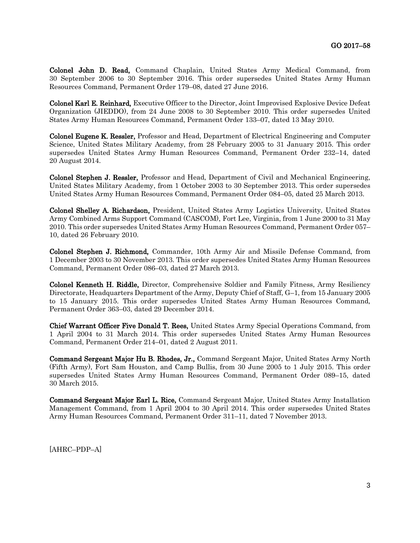Colonel John D. Read, Command Chaplain, United States Army Medical Command, from 30 September 2006 to 30 September 2016. This order supersedes United States Army Human Resources Command, Permanent Order 179–08, dated 27 June 2016.

Colonel Karl E. Reinhard, Executive Officer to the Director, Joint Improvised Explosive Device Defeat Organization (JIEDDO), from 24 June 2008 to 30 September 2010. This order supersedes United States Army Human Resources Command, Permanent Order 133–07, dated 13 May 2010.

Colonel Eugene K. Ressler, Professor and Head, Department of Electrical Engineering and Computer Science, United States Military Academy, from 28 February 2005 to 31 January 2015. This order supersedes United States Army Human Resources Command, Permanent Order 232–14, dated 20 August 2014.

Colonel Stephen J. Ressler, Professor and Head, Department of Civil and Mechanical Engineering, United States Military Academy, from 1 October 2003 to 30 September 2013. This order supersedes United States Army Human Resources Command, Permanent Order 084–05, dated 25 March 2013.

Colonel Shelley A. Richardson, President, United States Army Logistics University, United States Army Combined Arms Support Command (CASCOM), Fort Lee, Virginia, from 1 June 2000 to 31 May 2010. This order supersedes United States Army Human Resources Command, Permanent Order 057– 10, dated 26 February 2010.

Colonel Stephen J. Richmond, Commander, 10th Army Air and Missile Defense Command, from 1 December 2003 to 30 November 2013. This order supersedes United States Army Human Resources Command, Permanent Order 086–03, dated 27 March 2013.

Colonel Kenneth H. Riddle, Director, Comprehensive Soldier and Family Fitness, Army Resiliency Directorate, Headquarters Department of the Army, Deputy Chief of Staff, G–1, from 15 January 2005 to 15 January 2015. This order supersedes United States Army Human Resources Command, Permanent Order 363–03, dated 29 December 2014.

Chief Warrant Officer Five Donald T. Rees, United States Army Special Operations Command, from 1 April 2004 to 31 March 2014. This order supersedes United States Army Human Resources Command, Permanent Order 214–01, dated 2 August 2011.

Command Sergeant Major Hu B. Rhodes, Jr., Command Sergeant Major, United States Army North (Fifth Army), Fort Sam Houston, and Camp Bullis, from 30 June 2005 to 1 July 2015. This order supersedes United States Army Human Resources Command, Permanent Order 089–15, dated 30 March 2015.

Command Sergeant Major Earl L. Rice, Command Sergeant Major, United States Army Installation Management Command, from 1 April 2004 to 30 April 2014. This order supersedes United States Army Human Resources Command, Permanent Order 311–11, dated 7 November 2013.

[AHRC–PDP–A]